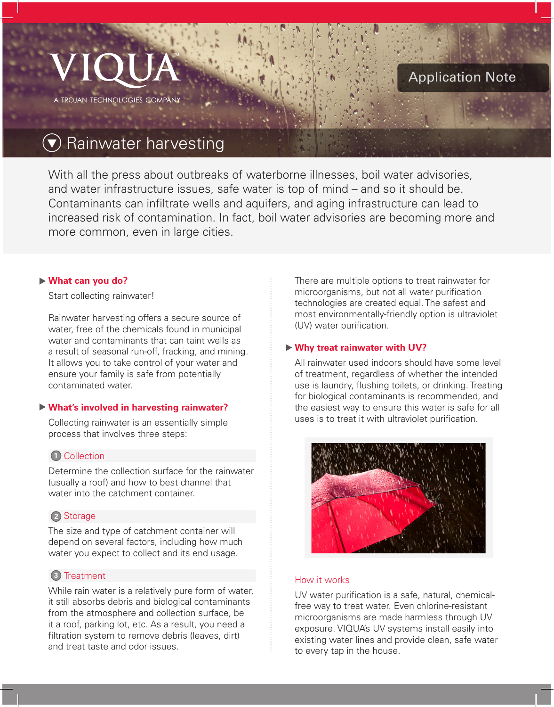

## Application Note

# Rainwater harvesting

With all the press about outbreaks of waterborne illnesses, boil water advisories, and water infrastructure issues, safe water is top of mind – and so it should be. Contaminants can infiltrate wells and aquifers, and aging infrastructure can lead to increased risk of contamination. In fact, boil water advisories are becoming more and more common, even in large cities.

#### **What can you do?**

Start collecting rainwater!

Rainwater harvesting offers a secure source of water, free of the chemicals found in municipal water and contaminants that can taint wells as a result of seasonal run-off, fracking, and mining. It allows you to take control of your water and ensure your family is safe from potentially contaminated water.

## **What's involved in harvesting rainwater?**

Collecting rainwater is an essentially simple process that involves three steps:

## **1** Collection

Determine the collection surface for the rainwater (usually a roof) and how to best channel that water into the catchment container.

## 2 Storage

The size and type of catchment container will depend on several factors, including how much water you expect to collect and its end usage.

## **3** Treatment

While rain water is a relatively pure form of water, it still absorbs debris and biological contaminants from the atmosphere and collection surface, be it a roof, parking lot, etc. As a result, you need a filtration system to remove debris (leaves, dirt) and treat taste and odor issues.

There are multiple options to treat rainwater for microorganisms, but not all water purification technologies are created equal. The safest and most environmentally-friendly option is ultraviolet (UV) water purification.

## **Why treat rainwater with UV?**

All rainwater used indoors should have some level of treatment, regardless of whether the intended use is laundry, flushing toilets, or drinking. Treating for biological contaminants is recommended, and the easiest way to ensure this water is safe for all uses is to treat it with ultraviolet purification.



## How it works

UV water purification is a safe, natural, chemicalfree way to treat water. Even chlorine-resistant microorganisms are made harmless through UV exposure. VIQUA's UV systems install easily into existing water lines and provide clean, safe water to every tap in the house.